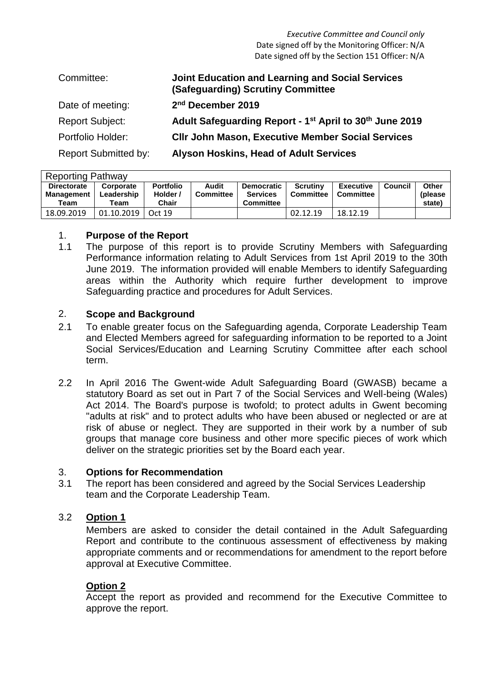*Executive Committee and Council only* Date signed off by the Monitoring Officer: N/A Date signed off by the Section 151 Officer: N/A

| Committee:                  | <b>Joint Education and Learning and Social Services</b><br>(Safeguarding) Scrutiny Committee |
|-----------------------------|----------------------------------------------------------------------------------------------|
| Date of meeting:            | 2 <sup>nd</sup> December 2019                                                                |
| <b>Report Subject:</b>      | Adult Safeguarding Report - 1 <sup>st</sup> April to 30 <sup>th</sup> June 2019              |
| Portfolio Holder:           | <b>CIIr John Mason, Executive Member Social Services</b>                                     |
| <b>Report Submitted by:</b> | <b>Alyson Hoskins, Head of Adult Services</b>                                                |

| <b>Reporting Pathway</b>                 |                                 |                                       |                           |                                                          |                              |                                      |         |                            |
|------------------------------------------|---------------------------------|---------------------------------------|---------------------------|----------------------------------------------------------|------------------------------|--------------------------------------|---------|----------------------------|
| <b>Directorate</b><br>Management<br>Team | Corporate<br>Leadership<br>Team | <b>Portfolio</b><br>Holder /<br>Chair | Audit<br><b>Committee</b> | <b>Democratic</b><br><b>Services</b><br><b>Committee</b> | <b>Scrutiny</b><br>Committee | <b>Executive</b><br><b>Committee</b> | Council | Other<br>(please<br>state) |
| 18.09.2019                               | 01.10.2019                      | Oct 19                                |                           |                                                          | 02.12.19                     | 18.12.19                             |         |                            |

#### 1. **Purpose of the Report**

1.1 The purpose of this report is to provide Scrutiny Members with Safeguarding Performance information relating to Adult Services from 1st April 2019 to the 30th June 2019. The information provided will enable Members to identify Safeguarding areas within the Authority which require further development to improve Safeguarding practice and procedures for Adult Services.

#### 2. **Scope and Background**

- 2.1 To enable greater focus on the Safeguarding agenda, Corporate Leadership Team and Elected Members agreed for safeguarding information to be reported to a Joint Social Services/Education and Learning Scrutiny Committee after each school term.
- 2.2 In April 2016 The Gwent-wide Adult Safeguarding Board (GWASB) became a statutory Board as set out in Part 7 of the Social Services and Well-being (Wales) Act 2014. The Board's purpose is twofold; to protect adults in Gwent becoming "adults at risk" and to protect adults who have been abused or neglected or are at risk of abuse or neglect. They are supported in their work by a number of sub groups that manage core business and other more specific pieces of work which deliver on the strategic priorities set by the Board each year.

#### 3. **Options for Recommendation**

3.1 The report has been considered and agreed by the Social Services Leadership team and the Corporate Leadership Team.

#### 3.2 **Option 1**

Members are asked to consider the detail contained in the Adult Safeguarding Report and contribute to the continuous assessment of effectiveness by making appropriate comments and or recommendations for amendment to the report before approval at Executive Committee.

#### **Option 2**

Accept the report as provided and recommend for the Executive Committee to approve the report.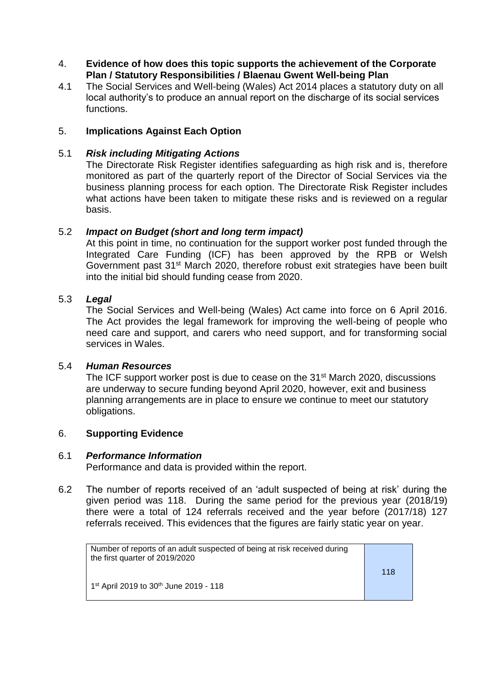#### 4. **Evidence of how does this topic supports the achievement of the Corporate Plan / Statutory Responsibilities / Blaenau Gwent Well-being Plan**

4.1 The Social Services and Well-being (Wales) Act 2014 places a statutory duty on all local authority's to produce an annual report on the discharge of its social services functions.

#### 5. **Implications Against Each Option**

#### 5.1 *Risk including Mitigating Actions*

The Directorate Risk Register identifies safeguarding as high risk and is, therefore monitored as part of the quarterly report of the Director of Social Services via the business planning process for each option. The Directorate Risk Register includes what actions have been taken to mitigate these risks and is reviewed on a regular basis.

#### 5.2 *Impact on Budget (short and long term impact)*

At this point in time, no continuation for the support worker post funded through the Integrated Care Funding (ICF) has been approved by the RPB or Welsh Government past 31st March 2020, therefore robust exit strategies have been built into the initial bid should funding cease from 2020.

## 5.3 *Legal*

The Social Services and Well-being (Wales) Act came into force on 6 April 2016. The Act provides the legal framework for improving the well-being of people who need care and support, and carers who need support, and for transforming social services in Wales.

#### 5.4 *Human Resources*

The ICF support worker post is due to cease on the 31<sup>st</sup> March 2020, discussions are underway to secure funding beyond April 2020, however, exit and business planning arrangements are in place to ensure we continue to meet our statutory obligations.

#### 6. **Supporting Evidence**

#### 6.1 *Performance Information*

Performance and data is provided within the report.

6.2 The number of reports received of an 'adult suspected of being at risk' during the given period was 118. During the same period for the previous year (2018/19) there were a total of 124 referrals received and the year before (2017/18) 127 referrals received. This evidences that the figures are fairly static year on year.

| Number of reports of an adult suspected of being at risk received during<br>the first quarter of 2019/2020 |     |
|------------------------------------------------------------------------------------------------------------|-----|
| 1 <sup>st</sup> April 2019 to 30 <sup>th</sup> June 2019 - 118                                             | 118 |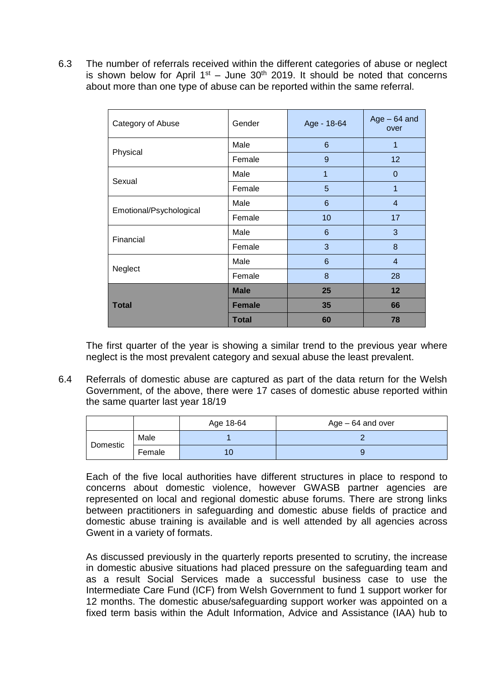6.3 The number of referrals received within the different categories of abuse or neglect is shown below for April  $1<sup>st</sup>$  – June  $30<sup>th</sup>$  2019. It should be noted that concerns about more than one type of abuse can be reported within the same referral.

| Category of Abuse       | Gender        | Age - 18-64     | $Age - 64$ and<br>over |
|-------------------------|---------------|-----------------|------------------------|
| Physical                | Male          | $6\phantom{1}6$ | 1                      |
|                         | Female        | 9               | 12                     |
| Sexual                  | Male          | $\mathbf{1}$    | $\mathbf 0$            |
|                         | Female        | 5               | 1                      |
|                         | Male          | $6\phantom{1}$  | $\overline{4}$         |
| Emotional/Psychological | Female        | 10              | 17                     |
| Financial               | Male          | $6\phantom{1}$  | 3                      |
|                         | Female        | 3               | $\bf 8$                |
|                         | Male          | $6\phantom{1}$  | $\overline{4}$         |
| Neglect                 | Female        | 8               | 28                     |
|                         | <b>Male</b>   | 25              | 12                     |
| <b>Total</b>            | <b>Female</b> | 35              | 66                     |
|                         | <b>Total</b>  | 60              | 78                     |

The first quarter of the year is showing a similar trend to the previous year where neglect is the most prevalent category and sexual abuse the least prevalent.

6.4 Referrals of domestic abuse are captured as part of the data return for the Welsh Government, of the above, there were 17 cases of domestic abuse reported within the same quarter last year 18/19

|          |        | Age 18-64 | $Age - 64$ and over |
|----------|--------|-----------|---------------------|
| Domestic | Male   |           |                     |
|          | Female |           |                     |

Each of the five local authorities have different structures in place to respond to concerns about domestic violence, however GWASB partner agencies are represented on local and regional domestic abuse forums. There are strong links between practitioners in safeguarding and domestic abuse fields of practice and domestic abuse training is available and is well attended by all agencies across Gwent in a variety of formats.

As discussed previously in the quarterly reports presented to scrutiny, the increase in domestic abusive situations had placed pressure on the safeguarding team and as a result Social Services made a successful business case to use the Intermediate Care Fund (ICF) from Welsh Government to fund 1 support worker for 12 months. The domestic abuse/safeguarding support worker was appointed on a fixed term basis within the Adult Information, Advice and Assistance (IAA) hub to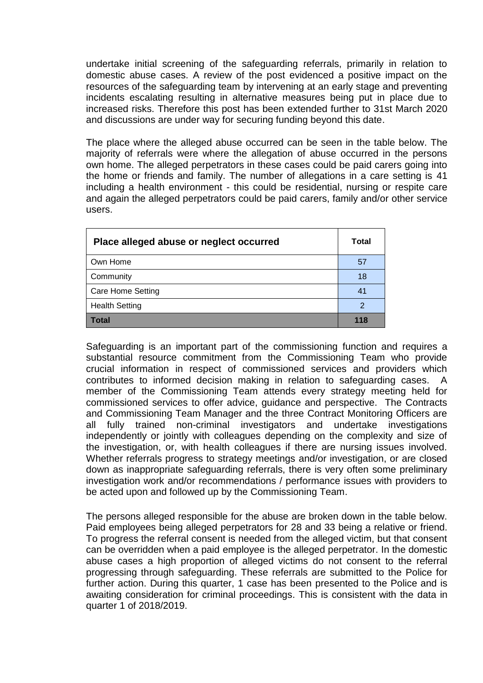undertake initial screening of the safeguarding referrals, primarily in relation to domestic abuse cases. A review of the post evidenced a positive impact on the resources of the safeguarding team by intervening at an early stage and preventing incidents escalating resulting in alternative measures being put in place due to increased risks. Therefore this post has been extended further to 31st March 2020 and discussions are under way for securing funding beyond this date.

The place where the alleged abuse occurred can be seen in the table below. The majority of referrals were where the allegation of abuse occurred in the persons own home. The alleged perpetrators in these cases could be paid carers going into the home or friends and family. The number of allegations in a care setting is 41 including a health environment - this could be residential, nursing or respite care and again the alleged perpetrators could be paid carers, family and/or other service users.

| Place alleged abuse or neglect occurred | Total |
|-----------------------------------------|-------|
| Own Home                                | 57    |
| Community                               | 18    |
| <b>Care Home Setting</b>                | 41    |
| <b>Health Setting</b>                   |       |
| Total                                   | 118   |

Safeguarding is an important part of the commissioning function and requires a substantial resource commitment from the Commissioning Team who provide crucial information in respect of commissioned services and providers which contributes to informed decision making in relation to safeguarding cases. A member of the Commissioning Team attends every strategy meeting held for commissioned services to offer advice, guidance and perspective. The Contracts and Commissioning Team Manager and the three Contract Monitoring Officers are all fully trained non-criminal investigators and undertake investigations independently or jointly with colleagues depending on the complexity and size of the investigation, or, with health colleagues if there are nursing issues involved. Whether referrals progress to strategy meetings and/or investigation, or are closed down as inappropriate safeguarding referrals, there is very often some preliminary investigation work and/or recommendations / performance issues with providers to be acted upon and followed up by the Commissioning Team.

The persons alleged responsible for the abuse are broken down in the table below. Paid employees being alleged perpetrators for 28 and 33 being a relative or friend. To progress the referral consent is needed from the alleged victim, but that consent can be overridden when a paid employee is the alleged perpetrator. In the domestic abuse cases a high proportion of alleged victims do not consent to the referral progressing through safeguarding. These referrals are submitted to the Police for further action. During this quarter, 1 case has been presented to the Police and is awaiting consideration for criminal proceedings. This is consistent with the data in quarter 1 of 2018/2019.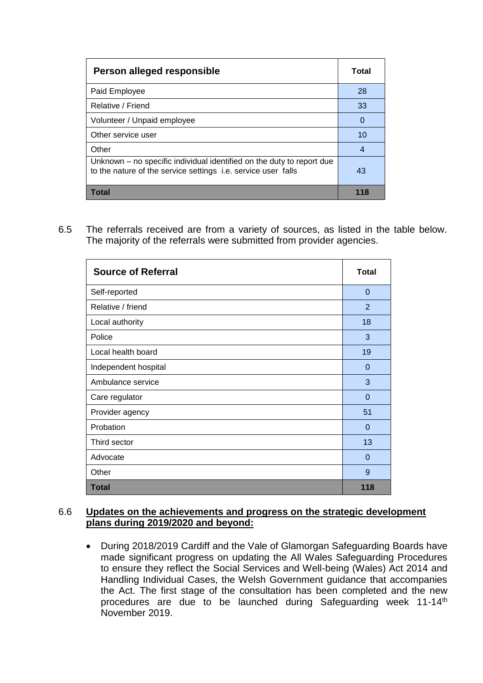| Person alleged responsible                                                                                                             | Total    |
|----------------------------------------------------------------------------------------------------------------------------------------|----------|
| Paid Employee                                                                                                                          | 28       |
| Relative / Friend                                                                                                                      | 33       |
| Volunteer / Unpaid employee                                                                                                            | $\Omega$ |
| Other service user                                                                                                                     | 10       |
| Other                                                                                                                                  | 4        |
| Unknown – no specific individual identified on the duty to report due<br>to the nature of the service settings i.e. service user falls | 43       |
| Total                                                                                                                                  | 118      |

6.5 The referrals received are from a variety of sources, as listed in the table below. The majority of the referrals were submitted from provider agencies.

| <b>Source of Referral</b> | <b>Total</b> |
|---------------------------|--------------|
| Self-reported             | $\Omega$     |
| Relative / friend         | 2            |
| Local authority           | 18           |
| Police                    | 3            |
| Local health board        | 19           |
| Independent hospital      | $\Omega$     |
| Ambulance service         | 3            |
| Care regulator            | 0            |
| Provider agency           | 51           |
| Probation                 | $\Omega$     |
| Third sector              | 13           |
| Advocate                  | 0            |
| Other                     | 9            |
| <b>Total</b>              | 118          |

#### 6.6 **Updates on the achievements and progress on the strategic development plans during 2019/2020 and beyond:**

 During 2018/2019 Cardiff and the Vale of Glamorgan Safeguarding Boards have made significant progress on updating the All Wales Safeguarding Procedures to ensure they reflect the Social Services and Well-being (Wales) Act 2014 and Handling Individual Cases, the Welsh Government guidance that accompanies the Act. The first stage of the consultation has been completed and the new procedures are due to be launched during Safeguarding week 11-14th November 2019.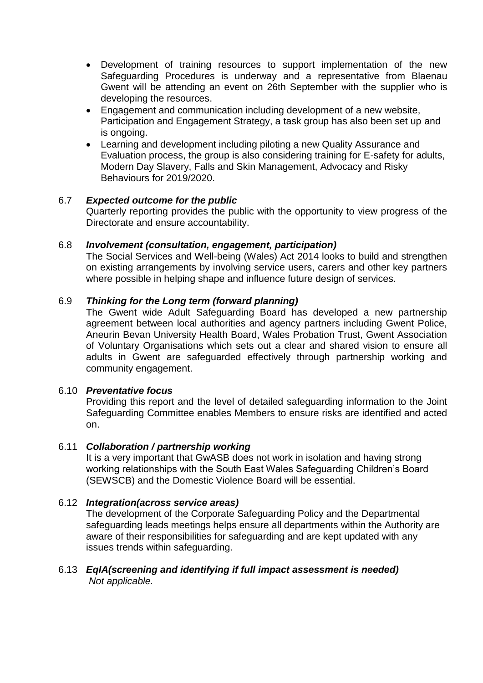- Development of training resources to support implementation of the new Safeguarding Procedures is underway and a representative from Blaenau Gwent will be attending an event on 26th September with the supplier who is developing the resources.
- Engagement and communication including development of a new website, Participation and Engagement Strategy, a task group has also been set up and is ongoing.
- Learning and development including piloting a new Quality Assurance and Evaluation process, the group is also considering training for E-safety for adults, Modern Day Slavery, Falls and Skin Management, Advocacy and Risky Behaviours for 2019/2020.

#### 6.7 *Expected outcome for the public*

Quarterly reporting provides the public with the opportunity to view progress of the Directorate and ensure accountability.

## 6.8 *Involvement (consultation, engagement, participation)*

The Social Services and Well-being (Wales) Act 2014 looks to build and strengthen on existing arrangements by involving service users, carers and other key partners where possible in helping shape and influence future design of services.

#### 6.9 *Thinking for the Long term (forward planning)*

The Gwent wide Adult Safeguarding Board has developed a new partnership agreement between local authorities and agency partners including Gwent Police, Aneurin Bevan University Health Board, Wales Probation Trust, Gwent Association of Voluntary Organisations which sets out a clear and shared vision to ensure all adults in Gwent are safeguarded effectively through partnership working and community engagement.

#### 6.10 *Preventative focus*

Providing this report and the level of detailed safeguarding information to the Joint Safeguarding Committee enables Members to ensure risks are identified and acted on.

#### 6.11 *Collaboration / partnership working*

It is a very important that GwASB does not work in isolation and having strong working relationships with the South East Wales Safeguarding Children's Board (SEWSCB) and the Domestic Violence Board will be essential.

#### 6.12 *Integration(across service areas)*

The development of the Corporate Safeguarding Policy and the Departmental safeguarding leads meetings helps ensure all departments within the Authority are aware of their responsibilities for safeguarding and are kept updated with any issues trends within safeguarding.

#### 6.13 *EqIA(screening and identifying if full impact assessment is needed) Not applicable.*